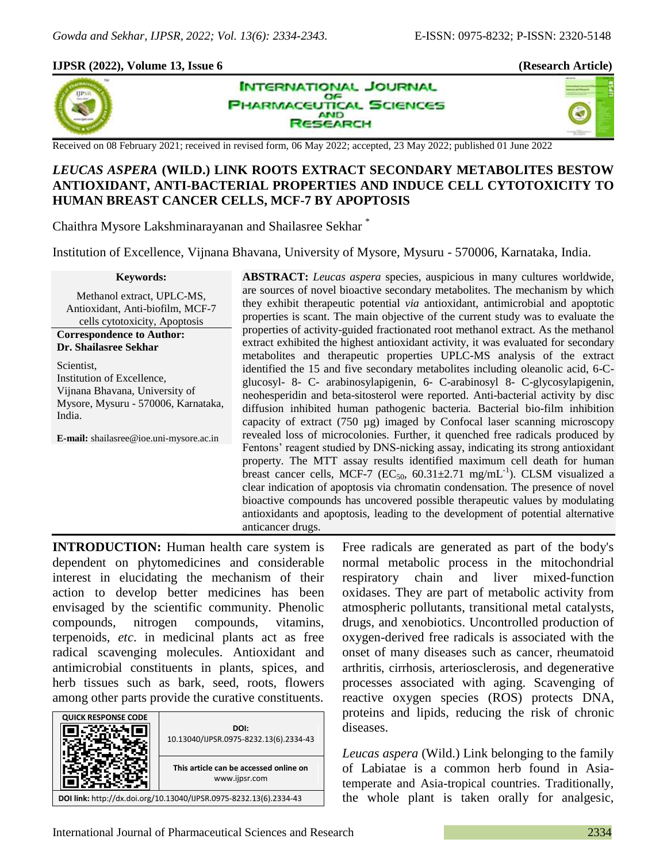40

### **IJPSR (2022), Volume 13, Issue 6 (Research Article)**



**INTERNATIONAL JOURNAL** OF **PHARMACEUTICAL SCIENCES AND ESEARCH** 

Received on 08 February 2021; received in revised form, 06 May 2022; accepted, 23 May 2022; published 01 June 2022

# *LEUCAS ASPERA* **(WILD.) LINK ROOTS EXTRACT SECONDARY METABOLITES BESTOW ANTIOXIDANT, ANTI-BACTERIAL PROPERTIES AND INDUCE CELL CYTOTOXICITY TO HUMAN BREAST CANCER CELLS, MCF-7 BY APOPTOSIS**

Chaithra Mysore Lakshminarayanan and Shailasree Sekhar \*

Institution of Excellence, Vijnana Bhavana, University of Mysore, Mysuru - 570006, Karnataka, India.

#### **Keywords:**

Methanol extract, UPLC-MS, Antioxidant, Anti-biofilm, MCF-7 cells cytotoxicity, Apoptosis

**Correspondence to Author: Dr. Shailasree Sekhar** 

Scientist, Institution of Excellence, Vijnana Bhavana, University of Mysore, Mysuru - 570006, Karnataka, India.

**E-mail:** shailasree@ioe.uni-mysore.ac.in

**ABSTRACT:** *Leucas aspera* species, auspicious in many cultures worldwide, are sources of novel bioactive secondary metabolites. The mechanism by which they exhibit therapeutic potential *via* antioxidant, antimicrobial and apoptotic properties is scant. The main objective of the current study was to evaluate the properties of activity-guided fractionated root methanol extract. As the methanol extract exhibited the highest antioxidant activity, it was evaluated for secondary metabolites and therapeutic properties UPLC-MS analysis of the extract identified the 15 and five secondary metabolites including oleanolic acid, 6-Cglucosyl- 8- C- arabinosylapigenin, 6- C-arabinosyl 8- C-glycosylapigenin, neohesperidin and beta-sitosterol were reported. Anti-bacterial activity by disc diffusion inhibited human pathogenic bacteria*.* Bacterial bio-film inhibition capacity of extract (750 µg) imaged by Confocal laser scanning microscopy revealed loss of microcolonies. Further, it quenched free radicals produced by Fentons' reagent studied by DNS-nicking assay, indicating its strong antioxidant property. The MTT assay results identified maximum cell death for human breast cancer cells, MCF-7 (EC<sub>50</sub>, 60.31 $\pm$ 2.71 mg/mL<sup>-1</sup>). CLSM visualized a clear indication of apoptosis via chromatin condensation. The presence of novel bioactive compounds has uncovered possible therapeutic values by modulating antioxidants and apoptosis, leading to the development of potential alternative anticancer drugs.

**INTRODUCTION:** Human health care system is dependent on phytomedicines and considerable interest in elucidating the mechanism of their action to develop better medicines has been envisaged by the scientific community. Phenolic compounds, nitrogen compounds, vitamins, terpenoids, *etc*. in medicinal plants act as free radical scavenging molecules. Antioxidant and antimicrobial constituents in plants, spices, and herb tissues such as bark, seed, roots, flowers among other parts provide the curative constituents.

| <b>QUICK RESPONSE CODE</b>                                         | DOI:<br>10.13040/IJPSR.0975-8232.13(6).2334-43          |  |
|--------------------------------------------------------------------|---------------------------------------------------------|--|
|                                                                    | This article can be accessed online on<br>www.ijpsr.com |  |
| DOI link: http://dx.doi.org/10.13040/IJPSR.0975-8232.13(6).2334-43 |                                                         |  |

Free radicals are generated as part of the body's normal metabolic process in the mitochondrial respiratory chain and liver mixed-function oxidases. They are part of metabolic activity from atmospheric pollutants, transitional metal catalysts, drugs, and xenobiotics. Uncontrolled production of oxygen-derived free radicals is associated with the onset of many diseases such as cancer, rheumatoid arthritis, cirrhosis, arteriosclerosis, and degenerative processes associated with aging. Scavenging of reactive oxygen species (ROS) protects DNA, proteins and lipids, reducing the risk of chronic diseases.

*Leucas aspera* (Wild.) Link belonging to the family of Labiatae is a common herb found in Asiatemperate and Asia-tropical countries. Traditionally, the whole plant is taken orally for analgesic,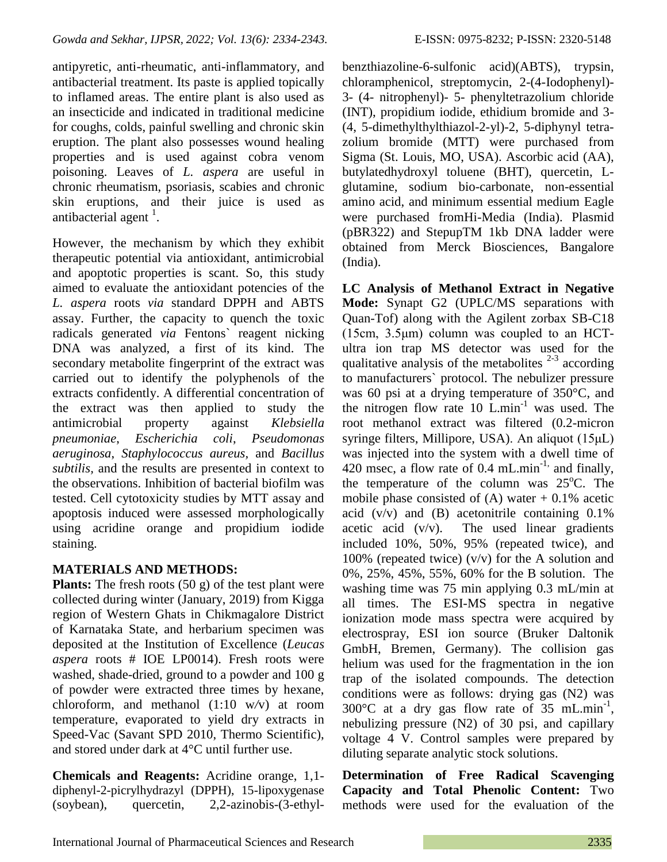antipyretic, anti-rheumatic, anti-inflammatory, and antibacterial treatment. Its paste is applied topically to inflamed areas. The entire plant is also used as an insecticide and indicated in traditional medicine for coughs, colds, painful swelling and chronic skin eruption. The plant also possesses wound healing properties and is used against cobra venom poisoning. Leaves of *L. aspera* are useful in chronic rheumatism, psoriasis, scabies and chronic skin eruptions, and their juice is used as antibacterial agent  $<sup>1</sup>$ .</sup>

However, the mechanism by which they exhibit therapeutic potential via antioxidant, antimicrobial and apoptotic properties is scant. So, this study aimed to evaluate the antioxidant potencies of the *L. aspera* roots *via* standard DPPH and ABTS assay. Further, the capacity to quench the toxic radicals generated *via* Fentons` reagent nicking DNA was analyzed, a first of its kind. The secondary metabolite fingerprint of the extract was carried out to identify the polyphenols of the extracts confidently. A differential concentration of the extract was then applied to study the antimicrobial property against *Klebsiella pneumoniae*, *Escherichia coli*, *Pseudomonas aeruginosa*, *Staphylococcus aureus,* and *Bacillus subtilis,* and the results are presented in context to the observations. Inhibition of bacterial biofilm was tested. Cell cytotoxicity studies by MTT assay and apoptosis induced were assessed morphologically using acridine orange and propidium iodide staining.

# **MATERIALS AND METHODS:**

**Plants:** The fresh roots (50 g) of the test plant were collected during winter (January, 2019) from Kigga region of Western Ghats in Chikmagalore District of Karnataka State, and herbarium specimen was deposited at the Institution of Excellence (*Leucas aspera* roots # IOE LP0014). Fresh roots were washed, shade-dried, ground to a powder and 100 g of powder were extracted three times by hexane, chloroform, and methanol (1:10 w*/*v) at room temperature, evaporated to yield dry extracts in Speed-Vac (Savant SPD 2010, Thermo Scientific), and stored under dark at 4°C until further use.

**Chemicals and Reagents:** Acridine orange, 1,1 diphenyl-2-picrylhydrazyl (DPPH), 15-lipoxygenase (soybean), quercetin, 2,2-azinobis-(3-ethylbenzthiazoline-6-sulfonic acid)(ABTS), trypsin, chloramphenicol, streptomycin, 2-(4-Iodophenyl)- 3- (4- nitrophenyl)- 5- phenyltetrazolium chloride (INT), propidium iodide, ethidium bromide and 3- (4, 5-dimethylthylthiazol-2-yl)-2, 5-diphynyl tetrazolium bromide (MTT) were purchased from Sigma (St. Louis, MO, USA). Ascorbic acid (AA), butylatedhydroxyl toluene (BHT), quercetin, Lglutamine, sodium bio-carbonate, non-essential amino acid, and minimum essential medium Eagle were purchased fromHi-Media (India). Plasmid (pBR322) and StepupTM 1kb DNA ladder were obtained from Merck Biosciences, Bangalore (India).

**LC Analysis of Methanol Extract in Negative Mode:** Synapt G2 (UPLC/MS separations with Quan-Tof) along with the Agilent zorbax SB-C18 (15cm, 3.5μm) column was coupled to an HCTultra ion trap MS detector was used for the qualitative analysis of the metabolites  $2-3$  according to manufacturers` protocol. The nebulizer pressure was 60 psi at a drying temperature of 350°C, and the nitrogen flow rate  $10$  L.min<sup>-1</sup> was used. The root methanol extract was filtered (0.2-micron syringe filters, Millipore, USA). An aliquot (15μL) was injected into the system with a dwell time of 420 msec, a flow rate of 0.4 mL.min<sup>-1,</sup> and finally, the temperature of the column was  $25^{\circ}$ C. The mobile phase consisted of  $(A)$  water  $+0.1\%$  acetic acid  $(v/v)$  and  $(B)$  acetonitrile containing 0.1% acetic acid  $(v/v)$ . The used linear gradients included 10%, 50%, 95% (repeated twice), and 100% (repeated twice)  $(v/v)$  for the A solution and 0%, 25%, 45%, 55%, 60% for the B solution. The washing time was 75 min applying 0.3 mL/min at all times. The ESI-MS spectra in negative ionization mode mass spectra were acquired by electrospray, ESI ion source (Bruker Daltonik GmbH, Bremen, Germany). The collision gas helium was used for the fragmentation in the ion trap of the isolated compounds. The detection conditions were as follows: drying gas (N2) was 300 $^{\circ}$ C at a dry gas flow rate of 35 mL.min<sup>-1</sup>, nebulizing pressure (N2) of 30 psi, and capillary voltage 4 V. Control samples were prepared by diluting separate analytic stock solutions.

**Determination of Free Radical Scavenging Capacity and Total Phenolic Content:** Two methods were used for the evaluation of the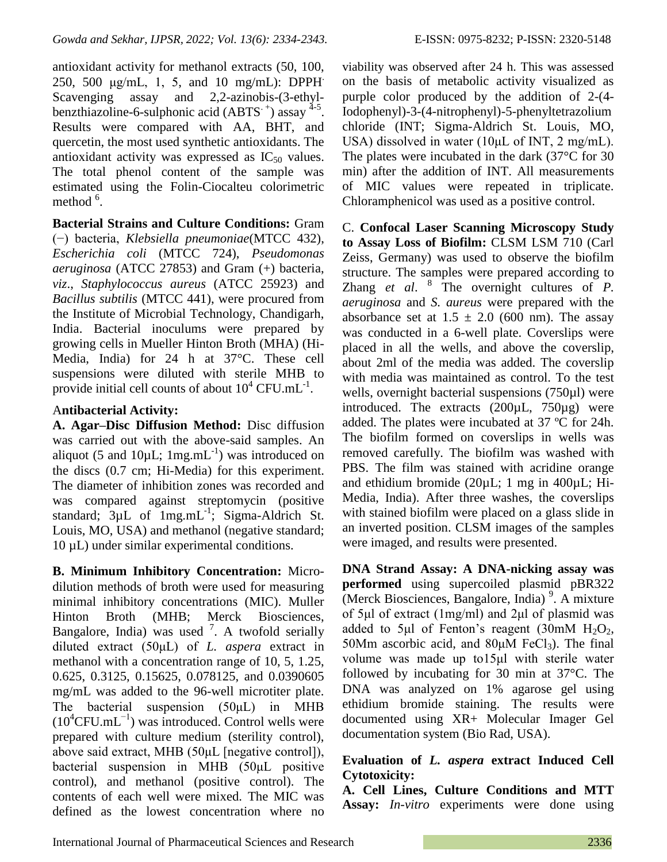antioxidant activity for methanol extracts (50, 100, 250, 500 μg/mL, 1, 5, and 10 mg/mL): DPPH. Scavenging assay and 2,2-azinobis-(3-ethylbenzthiazoline-6-sulphonic acid (ABTS  $^+$ ) assay  $^{4-5}$ . Results were compared with AA, BHT, and quercetin, the most used synthetic antioxidants. The antioxidant activity was expressed as  $IC_{50}$  values. The total phenol content of the sample was estimated using the Folin-Ciocalteu colorimetric method  $6$ .

**Bacterial Strains and Culture Conditions:** Gram (−) bacteria, *Klebsiella pneumoniae*(MTCC 432), *Escherichia coli* (MTCC 724), *Pseudomonas aeruginosa* (ATCC 27853) and Gram (+) bacteria, *viz*., *Staphylococcus aureus* (ATCC 25923) and *Bacillus subtilis* (MTCC 441), were procured from the Institute of Microbial Technology, Chandigarh, India. Bacterial inoculums were prepared by growing cells in Mueller Hinton Broth (MHA) (Hi-Media, India) for 24 h at 37°C. These cell suspensions were diluted with sterile MHB to provide initial cell counts of about  $10^4$  CFU.mL<sup>-1</sup>.

### A**ntibacterial Activity:**

**A. Agar–Disc Diffusion Method:** Disc diffusion was carried out with the above-said samples. An aliquot (5 and 10 $\mu$ L; 1mg.mL<sup>-1</sup>) was introduced on the discs (0.7 cm; Hi-Media) for this experiment. The diameter of inhibition zones was recorded and was compared against streptomycin (positive standard;  $3\mu L$  of  $1mg.mL^{-1}$ ; Sigma-Aldrich St. Louis, MO, USA) and methanol (negative standard; 10 µL) under similar experimental conditions.

**B. Minimum Inhibitory Concentration:** Microdilution methods of broth were used for measuring minimal inhibitory concentrations (MIC). Muller Hinton Broth (MHB; Merck Biosciences, Bangalore, India) was used  $^7$ . A twofold serially diluted extract (50μL) of *L. aspera* extract in methanol with a concentration range of 10, 5, 1.25, 0.625, 0.3125, 0.15625, 0.078125, and 0.0390605 mg/mL was added to the 96-well microtiter plate. The bacterial suspension (50μL) in MHB  $(10^4$ CFU.mL<sup>-1</sup>) was introduced. Control wells were prepared with culture medium (sterility control), above said extract, MHB (50μL [negative control]), bacterial suspension in MHB (50μL positive control), and methanol (positive control). The contents of each well were mixed. The MIC was defined as the lowest concentration where no

viability was observed after 24 h. This was assessed on the basis of metabolic activity visualized as purple color produced by the addition of 2-(4- Iodophenyl)-3-(4-nitrophenyl)-5-phenyltetrazolium chloride (INT; Sigma-Aldrich St. Louis, MO, USA) dissolved in water (10μL of INT, 2 mg/mL). The plates were incubated in the dark (37°C for 30 min) after the addition of INT. All measurements of MIC values were repeated in triplicate. Chloramphenicol was used as a positive control.

C. **Confocal Laser Scanning Microscopy Study to Assay Loss of Biofilm:** CLSM LSM 710 (Carl Zeiss, Germany) was used to observe the biofilm structure. The samples were prepared according to Zhang *et al.* <sup>8</sup> The overnight cultures of *P*. *aeruginosa* and *S. aureus* were prepared with the absorbance set at  $1.5 \pm 2.0$  (600 nm). The assay was conducted in a 6-well plate. Coverslips were placed in all the wells, and above the coverslip, about 2ml of the media was added. The coverslip with media was maintained as control. To the test wells, overnight bacterial suspensions (750µl) were introduced. The extracts  $(200\mu L, 750\mu g)$  were added. The plates were incubated at 37 ºC for 24h. The biofilm formed on coverslips in wells was removed carefully. The biofilm was washed with PBS. The film was stained with acridine orange and ethidium bromide (20µL; 1 mg in 400µL; Hi-Media, India). After three washes, the coverslips with stained biofilm were placed on a glass slide in an inverted position. CLSM images of the samples were imaged, and results were presented.

**DNA Strand Assay: A DNA-nicking assay was performed** using supercoiled plasmid pBR322 (Merck Biosciences, Bangalore, India)<sup>9</sup>. A mixture of 5μl of extract (1mg/ml) and 2μl of plasmid was added to 5μl of Fenton's reagent  $(30 \text{mM H}_2O_2)$ , 50Mm ascorbic acid, and  $80\mu$ M FeCl<sub>3</sub>). The final volume was made up to15μl with sterile water followed by incubating for 30 min at 37°C. The DNA was analyzed on 1% agarose gel using ethidium bromide staining. The results were documented using XR+ Molecular Imager Gel documentation system (Bio Rad, USA).

# **Evaluation of** *L. aspera* **extract Induced Cell Cytotoxicity:**

**A. Cell Lines, Culture Conditions and MTT Assay:** *In-vitro* experiments were done using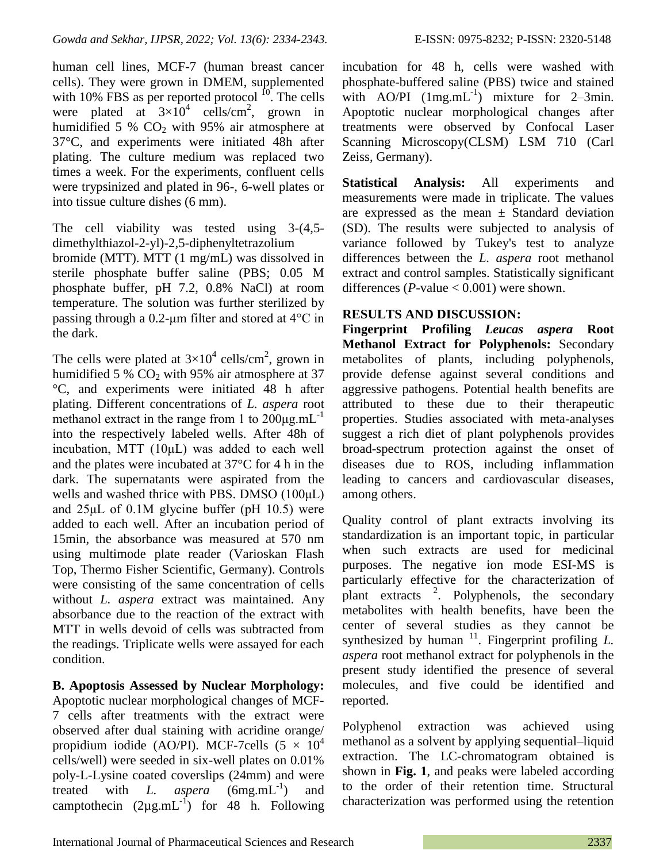human cell lines, MCF-7 (human breast cancer cells). They were grown in DMEM, supplemented with 10% FBS as per reported protocol  $^{10}$ . The cells were plated at  $3\times10^4$  cells/cm<sup>2</sup>, grown in humidified 5 %  $CO<sub>2</sub>$  with 95% air atmosphere at 37°C, and experiments were initiated 48h after plating. The culture medium was replaced two times a week. For the experiments, confluent cells were trypsinized and plated in 96-, 6-well plates or into tissue culture dishes (6 mm).

The cell viability was tested using 3-(4,5 dimethylthiazol-2-yl)-2,5-diphenyltetrazolium bromide (MTT). MTT (1 mg/mL) was dissolved in sterile phosphate buffer saline (PBS; 0.05 M phosphate buffer, pH 7.2, 0.8% NaCl) at room

temperature. The solution was further sterilized by passing through a 0.2-μm filter and stored at 4°C in the dark.

The cells were plated at  $3\times10^4$  cells/cm<sup>2</sup>, grown in humidified 5 %  $CO<sub>2</sub>$  with 95% air atmosphere at 37 °C, and experiments were initiated 48 h after plating. Different concentrations of *L. aspera* root methanol extract in the range from 1 to  $200\mu\text{g.mL}^{-1}$ into the respectively labeled wells. After 48h of incubation, MTT (10μL) was added to each well and the plates were incubated at 37°C for 4 h in the dark. The supernatants were aspirated from the wells and washed thrice with PBS. DMSO (100μL) and 25μL of 0.1M glycine buffer (pH 10.5) were added to each well. After an incubation period of 15min, the absorbance was measured at 570 nm using multimode plate reader (Varioskan Flash Top, Thermo Fisher Scientific, Germany). Controls were consisting of the same concentration of cells without *L. aspera* extract was maintained. Any absorbance due to the reaction of the extract with MTT in wells devoid of cells was subtracted from the readings. Triplicate wells were assayed for each condition.

**B. Apoptosis Assessed by Nuclear Morphology:**  Apoptotic nuclear morphological changes of MCF-7 cells after treatments with the extract were observed after dual staining with acridine orange/ propidium iodide (AO/PI). MCF-7cells  $(5 \times 10^4$ cells/well) were seeded in six-well plates on 0.01% poly-L-Lysine coated coverslips (24mm) and were treated with *L. aspera*  $(6mg.mL^{-1})$ ) and camptothecin  $(2\mu g.mL^{-1})$  for 48 h. Following incubation for 48 h, cells were washed with phosphate-buffered saline (PBS) twice and stained with  $AO/PI$   $(1mg.mL^{-1})$  mixture for 2-3min. Apoptotic nuclear morphological changes after treatments were observed by Confocal Laser Scanning Microscopy(CLSM) LSM 710 (Carl Zeiss, Germany).

**Statistical Analysis:** All experiments and measurements were made in triplicate. The values are expressed as the mean  $\pm$  Standard deviation (SD). The results were subjected to analysis of variance followed by Tukey's test to analyze differences between the *L. aspera* root methanol extract and control samples. Statistically significant differences ( $P$ -value  $< 0.001$ ) were shown.

# **RESULTS AND DISCUSSION:**

**Fingerprint Profiling** *Leucas aspera* **Root Methanol Extract for Polyphenols:** Secondary metabolites of plants, including polyphenols, provide defense against several conditions and aggressive pathogens. Potential health benefits are attributed to these due to their therapeutic properties. Studies associated with meta-analyses suggest a rich diet of plant polyphenols provides broad-spectrum protection against the onset of diseases due to ROS, including inflammation leading to cancers and cardiovascular diseases, among others.

Quality control of plant extracts involving its standardization is an important topic, in particular when such extracts are used for medicinal purposes. The negative ion mode ESI-MS is particularly effective for the characterization of  $\frac{1}{2}$  plant extracts  $\frac{2}{2}$ . Polyphenols, the secondary metabolites with health benefits, have been the center of several studies as they cannot be synthesized by human  $11$ . Fingerprint profiling *L*. *aspera* root methanol extract for polyphenols in the present study identified the presence of several molecules, and five could be identified and reported.

Polyphenol extraction was achieved using methanol as a solvent by applying sequential–liquid extraction. The LC-chromatogram obtained is shown in **Fig. 1**, and peaks were labeled according to the order of their retention time. Structural characterization was performed using the retention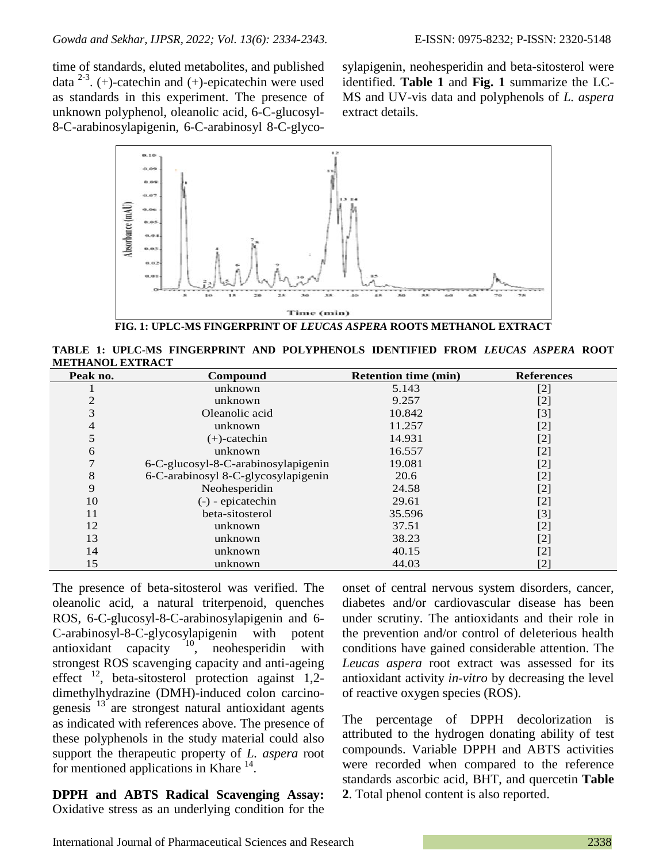time of standards, eluted metabolites, and published data  $^{2-3}$ . (+)-catechin and (+)-epicatechin were used as standards in this experiment. The presence of unknown polyphenol, oleanolic acid, 6-C-glucosyl-8-C-arabinosylapigenin, 6-C-arabinosyl 8-C-glycosylapigenin, neohesperidin and beta-sitosterol were identified. **Table 1** and **Fig. 1** summarize the LC-MS and UV-vis data and polyphenols of *L. aspera* extract details.



**TABLE 1: UPLC-MS FINGERPRINT AND POLYPHENOLS IDENTIFIED FROM** *LEUCAS ASPERA* **ROOT METHANOL EXTRACT**

| Peak no. | Compound                            | <b>Retention time (min)</b> | <b>References</b> |
|----------|-------------------------------------|-----------------------------|-------------------|
|          | unknown                             | 5.143                       | $[2]$             |
|          | unknown                             | 9.257                       | $[2]$             |
| 3        | Oleanolic acid                      | 10.842                      | $[3]$             |
| 4        | unknown                             | 11.257                      | $[2]$             |
| 5        | $(+)$ -catechin                     | 14.931                      | $[2]$             |
| 6        | unknown                             | 16.557                      | $[2]$             |
|          | 6-C-glucosyl-8-C-arabinosylapigenin | 19.081                      | $[2]$             |
| 8        | 6-C-arabinosyl 8-C-glycosylapigenin | 20.6                        | $[2]$             |
| 9        | Neohesperidin                       | 24.58                       | $[2]$             |
| 10       | (-) - epicatechin                   | 29.61                       | $[2]$             |
| 11       | beta-sitosterol                     | 35.596                      | $[3]$             |
| 12       | unknown                             | 37.51                       | $[2]$             |
| 13       | unknown                             | 38.23                       | $[2]$             |
| 14       | unknown                             | 40.15                       | [2]               |
| 15       | unknown                             | 44.03                       | $[2]$             |

The presence of beta-sitosterol was verified. The oleanolic acid, a natural triterpenoid, quenches ROS, 6-C-glucosyl-8-C-arabinosylapigenin and 6- C-arabinosyl-8-C-glycosylapigenin with potent antioxidant capacity  $\int_{0}^{10}$ , neohesperidin with strongest ROS scavenging capacity and anti-ageing effect  $^{12}$ , beta-sitosterol protection against 1,2dimethylhydrazine (DMH)-induced colon carcinogenesis  $13$  are strongest natural antioxidant agents as indicated with references above. The presence of these polyphenols in the study material could also support the therapeutic property of *L. aspera* root for mentioned applications in Khare <sup>14</sup>.

**DPPH and ABTS Radical Scavenging Assay:**  Oxidative stress as an underlying condition for the onset of central nervous system disorders, cancer, diabetes and/or cardiovascular disease has been under scrutiny. The antioxidants and their role in the prevention and/or control of deleterious health conditions have gained considerable attention. The *Leucas aspera* root extract was assessed for its antioxidant activity *in-vitro* by decreasing the level of reactive oxygen species (ROS).

The percentage of DPPH decolorization is attributed to the hydrogen donating ability of test compounds. Variable DPPH and ABTS activities were recorded when compared to the reference standards ascorbic acid, BHT, and quercetin **Table 2**. Total phenol content is also reported.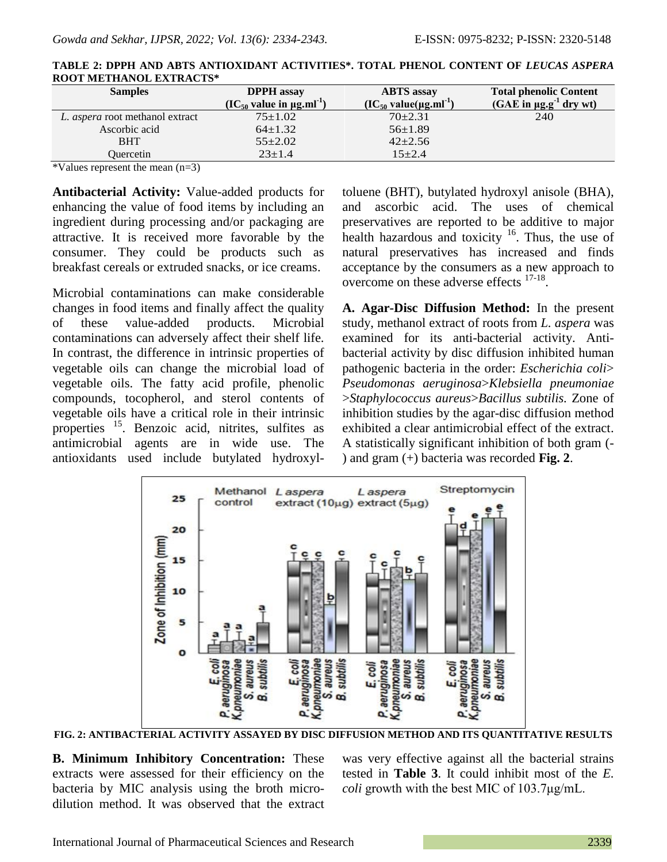| <b>Samples</b>                         | <b>DPPH</b> assay                              | <b>ABTS</b> assay                      | <b>Total phenolic Content</b>           |
|----------------------------------------|------------------------------------------------|----------------------------------------|-----------------------------------------|
|                                        | $(IC_{50}$ value in $\mu$ g.ml <sup>-1</sup> ) | $(IC_{50}$ value(µg.ml <sup>-1</sup> ) | (GAE in $\mu$ g.g <sup>-1</sup> dry wt) |
| L. <i>aspera</i> root methanol extract | $75 \pm 1.02$                                  | $70+2.31$                              | 240                                     |
| Ascorbic acid                          | $64 \pm 1.32$                                  | $56 \pm 1.89$                          |                                         |
| <b>BHT</b>                             | $55 \pm 2.02$                                  | $42 + 2.56$                            |                                         |
| Ouercetin                              | $23 \pm 1.4$                                   | $15 + 2.4$                             |                                         |

| TABLE 2: DPPH AND ABTS ANTIOXIDANT ACTIVITIES*. TOTAL PHENOL CONTENT OF <i>LEUCAS ASPERA</i> |  |
|----------------------------------------------------------------------------------------------|--|
| <b>ROOT METHANOL EXTRACTS*</b>                                                               |  |

\*Values represent the mean (n=3)

**Antibacterial Activity:** Value-added products for enhancing the value of food items by including an ingredient during processing and/or packaging are attractive. It is received more favorable by the consumer. They could be products such as breakfast cereals or extruded snacks, or ice creams.

Microbial contaminations can make considerable changes in food items and finally affect the quality of these value-added products. Microbial contaminations can adversely affect their shelf life. In contrast, the difference in intrinsic properties of vegetable oils can change the microbial load of vegetable oils. The fatty acid profile, phenolic compounds, tocopherol, and sterol contents of vegetable oils have a critical role in their intrinsic properties <sup>15</sup>. Benzoic acid, nitrites, sulfites as antimicrobial agents are in wide use. The antioxidants used include butylated hydroxyltoluene (BHT), butylated hydroxyl anisole (BHA), and ascorbic acid. The uses of chemical preservatives are reported to be additive to major health hazardous and toxicity  $16$ . Thus, the use of natural preservatives has increased and finds acceptance by the consumers as a new approach to overcome on these adverse effects <sup>17-18</sup>.

**A. Agar-Disc Diffusion Method:** In the present study, methanol extract of roots from *L. aspera* was examined for its anti-bacterial activity. Antibacterial activity by disc diffusion inhibited human pathogenic bacteria in the order: *Escherichia coli*> *Pseudomonas aeruginosa*>*Klebsiella pneumoniae*  >*Staphylococcus aureus*>*Bacillus subtilis.* Zone of inhibition studies by the agar-disc diffusion method exhibited a clear antimicrobial effect of the extract. A statistically significant inhibition of both gram (- ) and gram (+) bacteria was recorded **Fig. 2**.



**FIG. 2: ANTIBACTERIAL ACTIVITY ASSAYED BY DISC DIFFUSION METHOD AND ITS QUANTITATIVE RESULTS**

**B. Minimum Inhibitory Concentration:** These extracts were assessed for their efficiency on the bacteria by MIC analysis using the broth microdilution method. It was observed that the extract was very effective against all the bacterial strains tested in **Table 3**. It could inhibit most of the *E. coli* growth with the best MIC of 103.7μg/mL.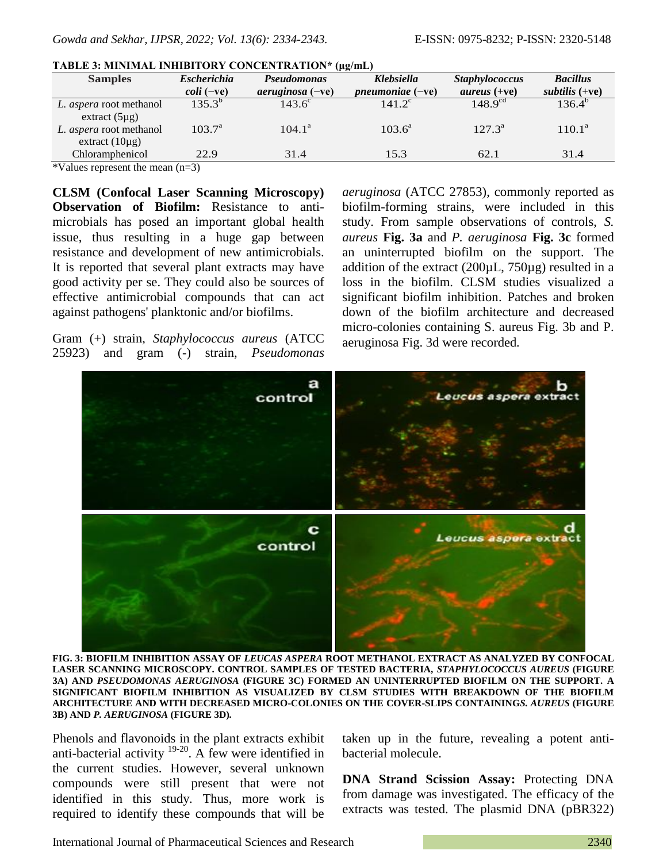| <b>Samples</b>                                       | <b>Escherichia</b>    | <b>Pseudomonas</b>  | Klebsiella                | <b>Staphylococcus</b> | <b>Bacillus</b>  |
|------------------------------------------------------|-----------------------|---------------------|---------------------------|-----------------------|------------------|
|                                                      | $\textit{coli}$ (-ve) | $a$ eruginosa (-ve) | <i>pneumoniae</i> $(-ve)$ | <i>aureus</i> $(+ve)$ | subtilis $(+ve)$ |
| L. <i>aspera</i> root methanol                       | $135.3^{b}$           | $143.6^{\circ}$     | $141.2^{\circ}$           | $148.9^{cd}$          | $136.4^{b}$      |
| extract $(5\mu g)$<br>L. <i>aspera</i> root methanol | $103.7^{\rm a}$       | $104.1^{\circ}$     | $103.6^a$                 | $127.3^a$             | $110.1^{\rm a}$  |
| extract $(10\mu g)$<br>Chloramphenicol               | 22.9                  | 31.4                | 15.3                      | 62.1                  | 31.4             |
|                                                      |                       |                     |                           |                       |                  |

#### **TABLE 3: MINIMAL INHIBITORY CONCENTRATION\* (μg/mL)**

\*Values represent the mean (n=3)

**CLSM (Confocal Laser Scanning Microscopy) Observation of Biofilm:** Resistance to antimicrobials has posed an important global health issue, thus resulting in a huge gap between resistance and development of new antimicrobials. It is reported that several plant extracts may have good activity per se. They could also be sources of effective antimicrobial compounds that can act against pathogens' planktonic and/or biofilms.

Gram (+) strain, *Staphylococcus aureus* (ATCC 25923) and gram (-) strain, *Pseudomonas*  *aeruginosa* (ATCC 27853), commonly reported as biofilm-forming strains, were included in this study. From sample observations of controls, *S. aureus* **Fig. 3a** and *P. aeruginosa* **Fig. 3c** formed an uninterrupted biofilm on the support. The addition of the extract  $(200\mu L, 750\mu g)$  resulted in a loss in the biofilm. CLSM studies visualized a significant biofilm inhibition. Patches and broken down of the biofilm architecture and decreased micro-colonies containing S. aureus Fig. 3b and P. aeruginosa Fig. 3d were recorded*.*



**FIG. 3: BIOFILM INHIBITION ASSAY OF** *LEUCAS ASPERA* **ROOT METHANOL EXTRACT AS ANALYZED BY CONFOCAL LASER SCANNING MICROSCOPY. CONTROL SAMPLES OF TESTED BACTERIA,** *STAPHYLOCOCCUS AUREUS* **(FIGURE 3A) AND** *PSEUDOMONAS AERUGINOSA* **(FIGURE 3C) FORMED AN UNINTERRUPTED BIOFILM ON THE SUPPORT. A SIGNIFICANT BIOFILM INHIBITION AS VISUALIZED BY CLSM STUDIES WITH BREAKDOWN OF THE BIOFILM ARCHITECTURE AND WITH DECREASED MICRO-COLONIES ON THE COVER-SLIPS CONTAINING***S. AUREUS* **(FIGURE 3B) AND** *P. AERUGINOSA* **(FIGURE 3D)***.*

Phenols and flavonoids in the plant extracts exhibit anti-bacterial activity  $19-20$ . A few were identified in the current studies. However, several unknown compounds were still present that were not identified in this study. Thus, more work is required to identify these compounds that will be

taken up in the future, revealing a potent antibacterial molecule.

**DNA Strand Scission Assay:** Protecting DNA from damage was investigated. The efficacy of the extracts was tested. The plasmid DNA (pBR322)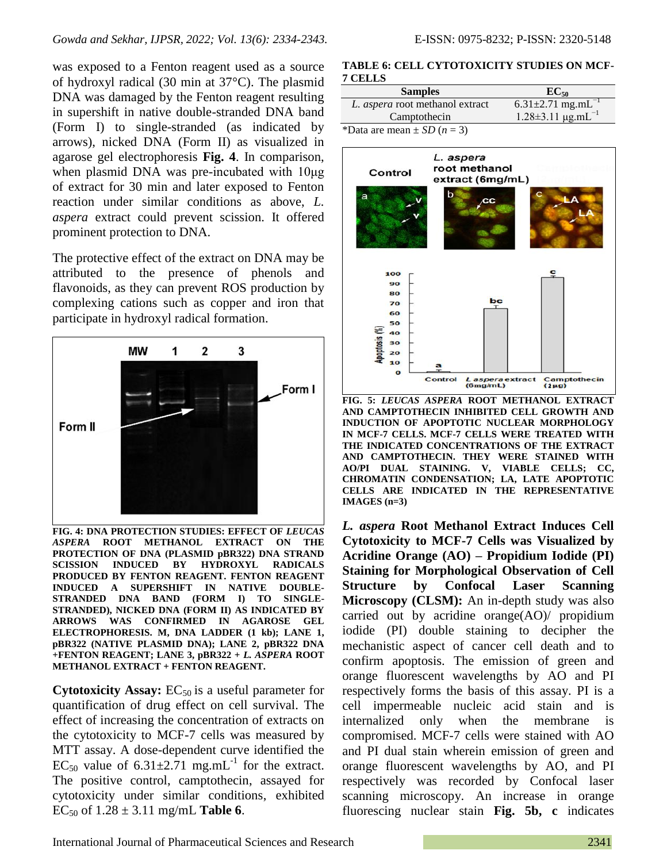was exposed to a Fenton reagent used as a source of hydroxyl radical (30 min at 37°C). The plasmid DNA was damaged by the Fenton reagent resulting in supershift in native double-stranded DNA band (Form I) to single-stranded (as indicated by arrows), nicked DNA (Form II) as visualized in agarose gel electrophoresis **Fig. 4**. In comparison, when plasmid DNA was pre-incubated with 10μg of extract for 30 min and later exposed to Fenton reaction under similar conditions as above, *L. aspera* extract could prevent scission. It offered prominent protection to DNA.

The protective effect of the extract on DNA may be attributed to the presence of phenols and flavonoids, as they can prevent ROS production by complexing cations such as copper and iron that participate in hydroxyl radical formation.



FIG. 4: DNA PROTECTION STUDIES: EFFECT OF *LEUCAS ASPERA* **ROOT METHANOL EXTRACT ON THE PROTECTION OF DNA (PLASMID pBR322) DNA STRAND SCISSION INDUCED BY HYDROXYL RADICALS PRODUCED BY FENTON REAGENT. FENTON REAGENT INDUCED A SUPERSHIFT IN NATIVE DOUBLE-STRANDED DNA BAND (FORM I) TO SINGLE-STRANDED), NICKED DNA (FORM II) AS INDICATED BY ARROWS WAS CONFIRMED IN AGAROSE GEL ELECTROPHORESIS. M, DNA LADDER (1 kb); LANE 1, pBR322 (NATIVE PLASMID DNA); LANE 2, pBR322 DNA +FENTON REAGENT; LANE 3, pBR322 +** *L. ASPERA* **ROOT METHANOL EXTRACT + FENTON REAGENT.**

**Cytotoxicity Assay:**  $EC_{50}$  is a useful parameter for quantification of drug effect on cell survival. The effect of increasing the concentration of extracts on the cytotoxicity to MCF-7 cells was measured by MTT assay. A dose-dependent curve identified the EC<sub>50</sub> value of  $6.31 \pm 2.71$  mg.mL<sup>-1</sup> for the extract. The positive control, camptothecin, assayed for cytotoxicity under similar conditions, exhibited EC<sub>50</sub> of  $1.28 \pm 3.11$  mg/mL **Table 6**.

#### **TABLE 6: CELL CYTOTOXICITY STUDIES ON MCF-7 CELLS**

| <b>Samples</b>                  | $EC_{50}$                           |
|---------------------------------|-------------------------------------|
| L. aspera root methanol extract | 6.31 $\pm$ 2.71 mg.mL <sup>-1</sup> |
| Camptothecin                    | $1.28 \pm 3.11 \mu g.mL^{-1}$       |
| *Data are mean + $SD (n = 3)$   |                                     |



**FIG. 5:** *LEUCAS ASPERA* **ROOT METHANOL EXTRACT AND CAMPTOTHECIN INHIBITED CELL GROWTH AND INDUCTION OF APOPTOTIC NUCLEAR MORPHOLOGY IN MCF-7 CELLS. MCF-7 CELLS WERE TREATED WITH THE INDICATED CONCENTRATIONS OF THE EXTRACT AND CAMPTOTHECIN. THEY WERE STAINED WITH AO/PI DUAL STAINING. V, VIABLE CELLS; CC, CHROMATIN CONDENSATION; LA, LATE APOPTOTIC CELLS ARE INDICATED IN THE REPRESENTATIVE IMAGES (n=3)**

*L. aspera* **Root Methanol Extract Induces Cell Cytotoxicity to MCF-7 Cells was Visualized by Acridine Orange (AO) – Propidium Iodide (PI) Staining for Morphological Observation of Cell Structure by Confocal Laser Scanning Microscopy (CLSM):** An in-depth study was also carried out by acridine orange(AO)/ propidium iodide (PI) double staining to decipher the mechanistic aspect of cancer cell death and to confirm apoptosis. The emission of green and orange fluorescent wavelengths by AO and PI respectively forms the basis of this assay. PI is a cell impermeable nucleic acid stain and is internalized only when the membrane is compromised. MCF-7 cells were stained with AO and PI dual stain wherein emission of green and orange fluorescent wavelengths by AO, and PI respectively was recorded by Confocal laser scanning microscopy. An increase in orange fluorescing nuclear stain **Fig. 5b, c** indicates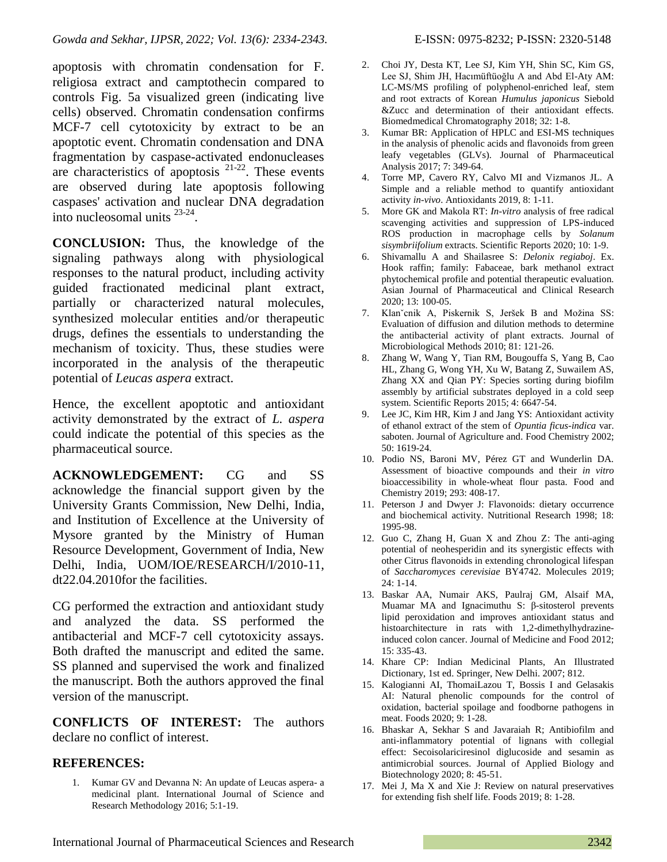apoptosis with chromatin condensation for F. religiosa extract and camptothecin compared to controls Fig. 5a visualized green (indicating live cells) observed. Chromatin condensation confirms MCF-7 cell cytotoxicity by extract to be an apoptotic event. Chromatin condensation and DNA fragmentation by caspase-activated endonucleases are characteristics of apoptosis  $21-22$ . These events are observed during late apoptosis following caspases' activation and nuclear DNA degradation into nucleosomal units 23-24 .

**CONCLUSION:** Thus, the knowledge of the signaling pathways along with physiological responses to the natural product, including activity guided fractionated medicinal plant extract, partially or characterized natural molecules, synthesized molecular entities and/or therapeutic drugs, defines the essentials to understanding the mechanism of toxicity. Thus, these studies were incorporated in the analysis of the therapeutic potential of *Leucas aspera* extract.

Hence, the excellent apoptotic and antioxidant activity demonstrated by the extract of *L. aspera* could indicate the potential of this species as the pharmaceutical source.

**ACKNOWLEDGEMENT:** CG and SS acknowledge the financial support given by the University Grants Commission, New Delhi, India, and Institution of Excellence at the University of Mysore granted by the Ministry of Human Resource Development, Government of India, New Delhi, India, UOM/IOE/RESEARCH/I/2010-11, dt22.04.2010for the facilities.

CG performed the extraction and antioxidant study and analyzed the data. SS performed the antibacterial and MCF-7 cell cytotoxicity assays. Both drafted the manuscript and edited the same. SS planned and supervised the work and finalized the manuscript. Both the authors approved the final version of the manuscript.

**CONFLICTS OF INTEREST:** The authors declare no conflict of interest.

### **REFERENCES:**

1. Kumar GV and Devanna N: An update of Leucas aspera- a medicinal plant. International Journal of Science and Research Methodology 2016; 5:1-19.

- 2. Choi JY, Desta KT, Lee SJ, Kim YH, Shin SC, Kim GS, Lee SJ, Shim JH, Hacımüftüoğlu A and Abd El-Aty AM: LC-MS/MS profiling of polyphenol-enriched leaf, stem and root extracts of Korean *Humulus japonicus* Siebold &Zucc and determination of their antioxidant effects. Biomedmedical Chromatography 2018; 32: 1-8.
- 3. Kumar BR: Application of HPLC and ESI-MS techniques in the analysis of phenolic acids and flavonoids from green leafy vegetables (GLVs). Journal of Pharmaceutical Analysis 2017; 7: 349-64.
- 4. Torre MP, Cavero RY, Calvo MI and Vizmanos JL. A Simple and a reliable method to quantify antioxidant activity *in-vivo*. Antioxidants 2019, 8: 1-11.
- 5. More GK and Makola RT: *In-vitro* analysis of free radical scavenging activities and suppression of LPS-induced ROS production in macrophage cells by *Solanum sisymbriifolium* extracts. Scientific Reports 2020; 10: 1-9.
- 6. Shivamallu A and Shailasree S: *Delonix regiaboj*. Ex. Hook raffin; family: Fabaceae, bark methanol extract phytochemical profile and potential therapeutic evaluation. Asian Journal of Pharmaceutical and Clinical Research 2020; 13: 100-05.
- 7. Klanˇcnik A, Piskernik S, Jeršek B and Možina SS: Evaluation of diffusion and dilution methods to determine the antibacterial activity of plant extracts. Journal of Microbiological Methods 2010; 81: 121-26.
- 8. Zhang W, Wang Y, Tian RM, Bougouffa S, Yang B, Cao HL, Zhang G, Wong YH, Xu W, Batang Z, Suwailem AS, Zhang XX and Qian PY: Species sorting during biofilm assembly by artificial substrates deployed in a cold seep system. Scientific Reports 2015; 4: 6647-54.
- 9. Lee JC, Kim HR, Kim J and Jang YS: Antioxidant activity of ethanol extract of the stem of *Opuntia ficus-indica* var. saboten. Journal of Agriculture and. Food Chemistry 2002; 50: 1619-24.
- 10. Podio NS, Baroni MV, Pérez GT and Wunderlin DA. Assessment of bioactive compounds and their *in vitro* bioaccessibility in whole-wheat flour pasta. Food and Chemistry 2019; 293: 408-17.
- 11. Peterson J and Dwyer J: Flavonoids: dietary occurrence and biochemical activity. Nutritional Research 1998; 18: 1995-98.
- 12. Guo C, Zhang H, Guan X and Zhou Z: The anti-aging potential of neohesperidin and its synergistic effects with other Citrus flavonoids in extending chronological lifespan of *Saccharomyces cerevisiae* BY4742. Molecules 2019; 24: 1-14.
- 13. Baskar AA, Numair AKS, Paulraj GM, Alsaif MA, Muamar MA and Ignacimuthu S: β-sitosterol prevents lipid peroxidation and improves antioxidant status and histoarchitecture in rats with 1,2-dimethylhydrazineinduced colon cancer. Journal of Medicine and Food 2012; 15: 335-43.
- 14. Khare CP: Indian Medicinal Plants, An Illustrated Dictionary, 1st ed. Springer, New Delhi. 2007; 812.
- 15. Kalogianni AI, ThomaiLazou T, Bossis I and Gelasakis AI: Natural phenolic compounds for the control of oxidation, bacterial spoilage and foodborne pathogens in meat. Foods 2020; 9: 1-28.
- 16. Bhaskar A, Sekhar S and Javaraiah R; Antibiofilm and anti-inflammatory potential of lignans with collegial effect: Secoisolariciresinol diglucoside and sesamin as antimicrobial sources. Journal of Applied Biology and Biotechnology 2020; 8: 45-51.
- 17. Mei J, Ma X and Xie J: Review on natural preservatives for extending fish shelf life. Foods 2019; 8: 1-28.